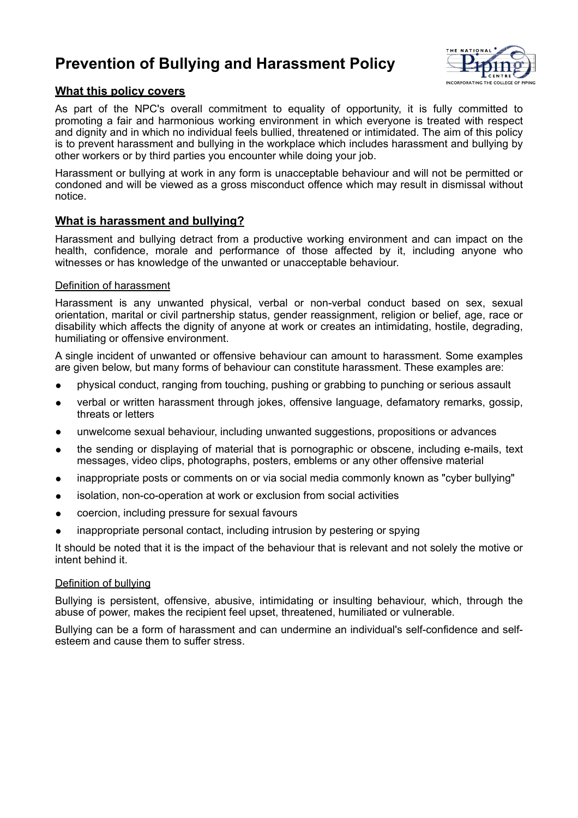# **Prevention of Bullying and Harassment Policy**



## **What this policy covers**

As part of the NPC's overall commitment to equality of opportunity, it is fully committed to promoting a fair and harmonious working environment in which everyone is treated with respect and dignity and in which no individual feels bullied, threatened or intimidated. The aim of this policy is to prevent harassment and bullying in the workplace which includes harassment and bullying by other workers or by third parties you encounter while doing your job.

Harassment or bullying at work in any form is unacceptable behaviour and will not be permitted or condoned and will be viewed as a gross misconduct offence which may result in dismissal without notice.

# **What is harassment and bullying?**

Harassment and bullying detract from a productive working environment and can impact on the health, confidence, morale and performance of those affected by it, including anyone who witnesses or has knowledge of the unwanted or unacceptable behaviour.

## Definition of harassment

Harassment is any unwanted physical, verbal or non-verbal conduct based on sex, sexual orientation, marital or civil partnership status, gender reassignment, religion or belief, age, race or disability which affects the dignity of anyone at work or creates an intimidating, hostile, degrading, humiliating or offensive environment.

A single incident of unwanted or offensive behaviour can amount to harassment. Some examples are given below, but many forms of behaviour can constitute harassment. These examples are:

- physical conduct, ranging from touching, pushing or grabbing to punching or serious assault
- verbal or written harassment through jokes, offensive language, defamatory remarks, gossip, threats or letters
- unwelcome sexual behaviour, including unwanted suggestions, propositions or advances
- the sending or displaying of material that is pornographic or obscene, including e-mails, text messages, video clips, photographs, posters, emblems or any other offensive material
- inappropriate posts or comments on or via social media commonly known as "cyber bullying"
- isolation, non-co-operation at work or exclusion from social activities
- coercion, including pressure for sexual favours
- inappropriate personal contact, including intrusion by pestering or spying

It should be noted that it is the impact of the behaviour that is relevant and not solely the motive or intent behind it.

### Definition of bullying

Bullying is persistent, offensive, abusive, intimidating or insulting behaviour, which, through the abuse of power, makes the recipient feel upset, threatened, humiliated or vulnerable.

Bullying can be a form of harassment and can undermine an individual's self-confidence and selfesteem and cause them to suffer stress.